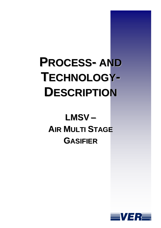# **PROCESS-AND TECHNOLOGY-DESCRIPTION**

## LMSV-**AIR MULTI STAGE GASIFIER**

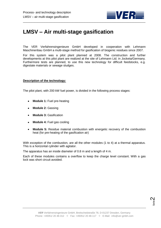

## **LMSV – Air multi-stage gasification**

The VER Verfahrensingenieure GmbH developed in cooperation with Lehmann Maschinenbau GmbH a multi-stage method for gasification of biogenic residues since 2007.

For this system was a pilot plant planned at 2008. The construction and further developments at this pilot plant are realized at the site of Lehmann Ltd. in Jocketa/Germany. Furthermore tests are planned, to use this new technology for difficult feedstocks, e.g. digestate materials or sewage sludges.

### **Description of the technology:**

The pilot plant, with 200 kW fuel power, is divided in the following process stages:

- **Module 1:** Fuel pre-heating  $\bullet$
- **Module 2:** Gassing  $\bullet$
- **Module 3:** Gasification
- **Module 4:** Fuel gas cooling
- $\bullet$ **Module 5:** Residue material combustion with energetic recovery of the combustion heat (for pre-heating of the gasification air)

With exception of the combustion, are all the other modules (1 to 4) at a thermal apparatus. This is a horizontal cylinder with agitator.

The apparatus has an inside diameter of 0.8 m and a length of 4 m.

Each of these modules contains a overflow to keep the charge level constant. With a gas lock was short circuit avoided.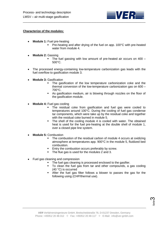

#### **Characterize of the modules:**

- **Module 1:** Fuel pre-heating
	- Pre-heating and after drying of the fuel on app. 100°C with pre-heated water from module 4.
- **Module 2:** Gassing
	- The fuel gassing with low amount of pre-heated air occurs on 400 500°C.
- The processed energy-containing low-temperature carbonization gas leads with the fuel overflow to gasification module 3.
- **Module 3:** Gasification
	- The gasification of the low temperature carbonization coke and the thermal conversion of the low-temperature carbonization gas on 600 – 700°C.
	- As gasification medium, air is blowing through nozzles on the floor of the gasification module.
- **Module 4:** Fuel gas cooling
	- The residual coke from gasification and fuel gas were cooled to temperatures around 100°C. During the cooling of fuel gas condense tar components, which were take up by the residual coke and together with the residual coke burned in module 5.
	- The shell of the cooling module 4 is cooled with water. The obtained heat is used for the fuel pre-heating at the double shell of module 1, over a closed pipe line system.
- **Module 5:** Combustion
	- The combustion of the residual carbon of module 4 occurs at oxidizing atmosphere at temperatures app. 900°C in the module 5, fluidized bed combustion.
	- Entry the combustion occurs preferably by screw.
	- The flue gas is used for the modules 2 and 3.
- Fuel gas cleaning and compression
	- The fuel gas cleaning is processed enclosed to the gasifier.<br>To clean the fuel gas from tar and other compounds a c
	- To clean the fuel gas from tar and other compounds, a gas cooling (40 °C) is occurred
	- After the fuel gas filter follows a blower to passes the gas for the following using (CHP/thermal use).

Seite ო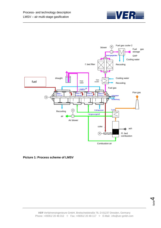



**Picture 1: Process scheme of LMSV**

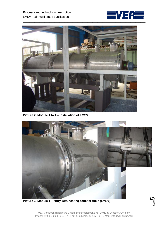



**Picture 2: Module 1 to 4 – installation of LMSV**



**Picture 3: Module 1 – entry with heating zone for fuels (LMSV)**